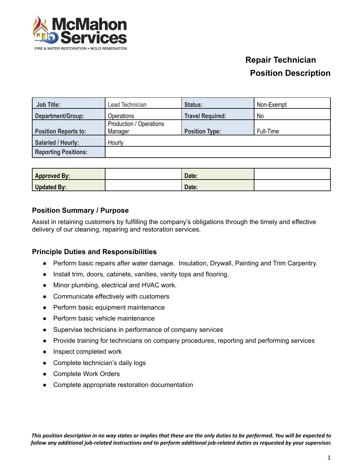

| <b>Job Title:</b>           | Lead Technician                    | Status:                 | Non-Exempt |
|-----------------------------|------------------------------------|-------------------------|------------|
| Department/Group:           | Operations                         | <b>Travel Required:</b> | No         |
| <b>Position Reports to:</b> | Production / Operations<br>Manager | <b>Position Type:</b>   | Full-Time  |
| Salaried / Hourly:          | Hourly                             |                         |            |
| <b>Reporting Positions:</b> |                                    |                         |            |

| <b>Approved By:</b> | Date: |  |
|---------------------|-------|--|
| <b>Updated By:</b>  | Date: |  |

### **Position Summary / Purpose**

Assist in retaining customers by fulfilling the company's obligations through the timely and effective delivery of our cleaning, repairing and restoration services.

#### **Principle Duties and Responsibilities**

- Perform basic repairs after water damage. Insulation, Drywall, Painting and Trim Carpentry.
- Install trim, doors, cabinets, vanities, vanity tops and flooring.
- Minor plumbing, electrical and HVAC work.
- Communicate effectively with customers
- Perform basic equipment maintenance
- Perform basic vehicle maintenance
- Supervise technicians in performance of company services
- Provide training for technicians on company procedures, reporting and performing services
- Inspect completed work
- Complete technician's daily logs
- Complete Work Orders
- Complete appropriate restoration documentation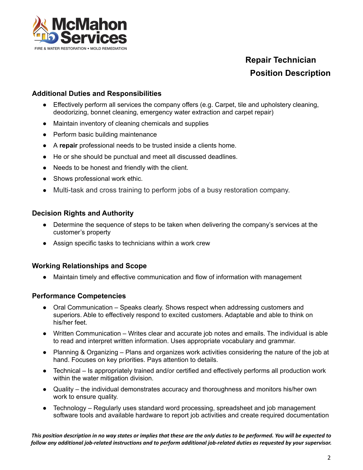

### **Additional Duties and Responsibilities**

- Effectively perform all services the company offers (e.g. Carpet, tile and upholstery cleaning, deodorizing, bonnet cleaning, emergency water extraction and carpet repair)
- Maintain inventory of cleaning chemicals and supplies
- Perform basic building maintenance
- A **repair** professional needs to be trusted inside a clients home.
- He or she should be punctual and meet all discussed deadlines.
- Needs to be honest and friendly with the client.
- Shows professional work ethic.
- Multi-task and cross training to perform jobs of a busy restoration company.

#### **Decision Rights and Authority**

- Determine the sequence of steps to be taken when delivering the company's services at the customer's property
- Assign specific tasks to technicians within a work crew

#### **Working Relationships and Scope**

Maintain timely and effective communication and flow of information with management

#### **Performance Competencies**

- Oral Communication Speaks clearly. Shows respect when addressing customers and superiors. Able to effectively respond to excited customers. Adaptable and able to think on his/her feet.
- Written Communication Writes clear and accurate job notes and emails. The individual is able to read and interpret written information. Uses appropriate vocabulary and grammar.
- Planning & Organizing Plans and organizes work activities considering the nature of the job at hand. Focuses on key priorities. Pays attention to details.
- Technical Is appropriately trained and/or certified and effectively performs all production work within the water mitigation division.
- Quality the individual demonstrates accuracy and thoroughness and monitors his/her own work to ensure quality.
- Technology Regularly uses standard word processing, spreadsheet and job management software tools and available hardware to report job activities and create required documentation

This position description in no way states or implies that these are the only duties to be performed. You will be expected to follow any additional job-related instructions and to perform additional job-related duties as requested by your supervisor.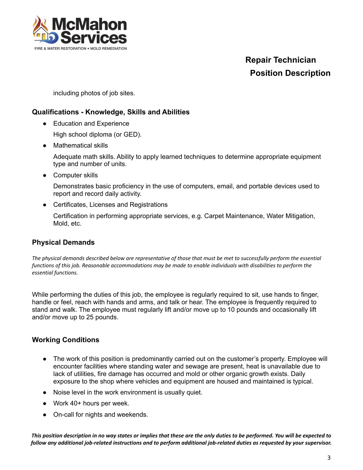

including photos of job sites.

### **Qualifications - Knowledge, Skills and Abilities**

● Education and Experience

High school diploma (or GED).

● Mathematical skills

Adequate math skills. Ability to apply learned techniques to determine appropriate equipment type and number of units.

● Computer skills

Demonstrates basic proficiency in the use of computers, email, and portable devices used to report and record daily activity.

● Certificates, Licenses and Registrations

Certification in performing appropriate services, e.g. Carpet Maintenance, Water Mitigation, Mold, etc.

### **Physical Demands**

The physical demands described below are representative of those that must be met to successfully perform the essential functions of this job. Reasonable accommodations may be made to enable individuals with disabilities to perform the *essential functions.*

While performing the duties of this job, the employee is regularly required to sit, use hands to finger, handle or feel, reach with hands and arms, and talk or hear. The employee is frequently required to stand and walk. The employee must regularly lift and/or move up to 10 pounds and occasionally lift and/or move up to 25 pounds.

### **Working Conditions**

- The work of this position is predominantly carried out on the customer's property. Employee will encounter facilities where standing water and sewage are present, heat is unavailable due to lack of utilities, fire damage has occurred and mold or other organic growth exists. Daily exposure to the shop where vehicles and equipment are housed and maintained is typical.
- Noise level in the work environment is usually quiet.
- Work 40+ hours per week.
- On-call for nights and weekends.

This position description in no way states or implies that these are the only duties to be performed. You will be expected to follow any additional job-related instructions and to perform additional job-related duties as requested by your supervisor.